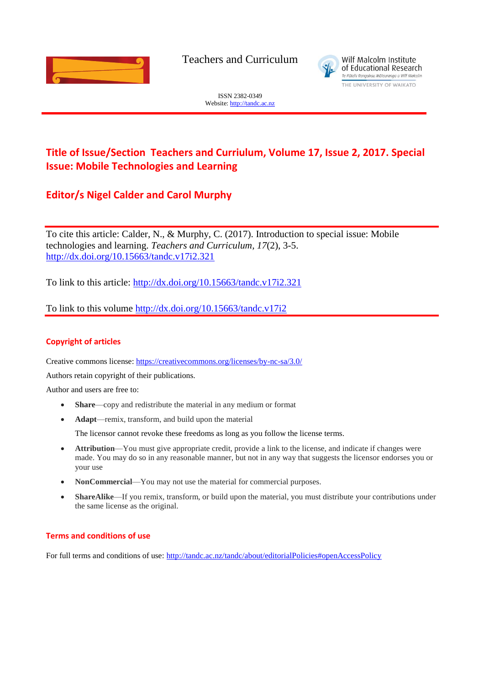

Teachers and Curriculum



ISSN 2382-0349 Website[: http://tandc.ac.nz](http://wje.org.nz/)

# **Title of Issue/Section Teachers and Curriulum, Volume 17, Issue 2, 2017. Special Issue: Mobile Technologies and Learning**

## **Editor/s Nigel Calder and Carol Murphy**

To cite this article: Calder, N., & Murphy, C. (2017). Introduction to special issue: Mobile technologies and learning. *Teachers and Curriculum, 17*(2), 3-5. <http://dx.doi.org/10.15663/tandc.v17i2.321>

To link to this article:<http://dx.doi.org/10.15663/tandc.v17i2.321>

To link to this volume<http://dx.doi.org/10.15663/tandc.v17i2>

### **Copyright of articles**

Creative commons license:<https://creativecommons.org/licenses/by-nc-sa/3.0/>

Authors retain copyright of their publications.

Author and users are free to:

- **Share**—copy and redistribute the material in any medium or format
- **Adapt**—remix, transform, and build upon the material

The licensor cannot revoke these freedoms as long as you follow the license terms.

- **Attribution**—You must give appropriate credit, provide a link to the license, and indicate if changes were made. You may do so in any reasonable manner, but not in any way that suggests the licensor endorses you or your use
- **NonCommercial**—You may not use the material for commercial purposes.
- **ShareAlike**—If you remix, transform, or build upon the material, you must distribute your contributions under the same license as the original.

### **Terms and conditions of use**

For full terms and conditions of use: <http://tandc.ac.nz/tandc/about/editorialPolicies#openAccessPolicy>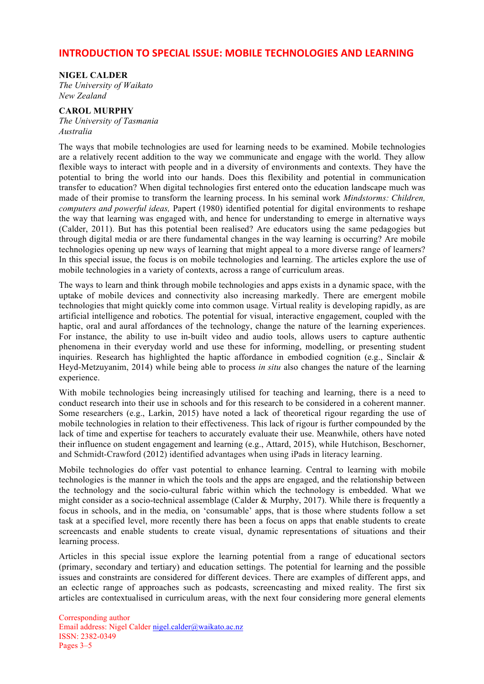### **INTRODUCTION TO SPECIAL ISSUE: MOBILE TECHNOLOGIES AND LEARNING**

### **NIGEL CALDER**

*The University of Waikato New Zealand*

### **CAROL MURPHY**

*The University of Tasmania Australia*

The ways that mobile technologies are used for learning needs to be examined. Mobile technologies are a relatively recent addition to the way we communicate and engage with the world. They allow flexible ways to interact with people and in a diversity of environments and contexts. They have the potential to bring the world into our hands. Does this flexibility and potential in communication transfer to education? When digital technologies first entered onto the education landscape much was made of their promise to transform the learning process. In his seminal work *Mindstorms: Children, computers and powerful ideas,* Papert (1980) identified potential for digital environments to reshape the way that learning was engaged with, and hence for understanding to emerge in alternative ways (Calder, 2011). But has this potential been realised? Are educators using the same pedagogies but through digital media or are there fundamental changes in the way learning is occurring? Are mobile technologies opening up new ways of learning that might appeal to a more diverse range of learners? In this special issue, the focus is on mobile technologies and learning. The articles explore the use of mobile technologies in a variety of contexts, across a range of curriculum areas.

The ways to learn and think through mobile technologies and apps exists in a dynamic space, with the uptake of mobile devices and connectivity also increasing markedly. There are emergent mobile technologies that might quickly come into common usage. Virtual reality is developing rapidly, as are artificial intelligence and robotics. The potential for visual, interactive engagement, coupled with the haptic, oral and aural affordances of the technology, change the nature of the learning experiences. For instance, the ability to use in-built video and audio tools, allows users to capture authentic phenomena in their everyday world and use these for informing, modelling, or presenting student inquiries. Research has highlighted the haptic affordance in embodied cognition (e.g., Sinclair  $\&$ Heyd-Metzuyanim, 2014) while being able to process *in situ* also changes the nature of the learning experience.

With mobile technologies being increasingly utilised for teaching and learning, there is a need to conduct research into their use in schools and for this research to be considered in a coherent manner. Some researchers (e.g., Larkin, 2015) have noted a lack of theoretical rigour regarding the use of mobile technologies in relation to their effectiveness. This lack of rigour is further compounded by the lack of time and expertise for teachers to accurately evaluate their use. Meanwhile, others have noted their influence on student engagement and learning (e.g., Attard, 2015), while Hutchison, Beschorner, and Schmidt-Crawford (2012) identified advantages when using iPads in literacy learning.

Mobile technologies do offer vast potential to enhance learning. Central to learning with mobile technologies is the manner in which the tools and the apps are engaged, and the relationship between the technology and the socio-cultural fabric within which the technology is embedded. What we might consider as a socio-technical assemblage (Calder & Murphy, 2017). While there is frequently a focus in schools, and in the media, on 'consumable' apps, that is those where students follow a set task at a specified level, more recently there has been a focus on apps that enable students to create screencasts and enable students to create visual, dynamic representations of situations and their learning process.

Articles in this special issue explore the learning potential from a range of educational sectors (primary, secondary and tertiary) and education settings. The potential for learning and the possible issues and constraints are considered for different devices. There are examples of different apps, and an eclectic range of approaches such as podcasts, screencasting and mixed reality. The first six articles are contextualised in curriculum areas, with the next four considering more general elements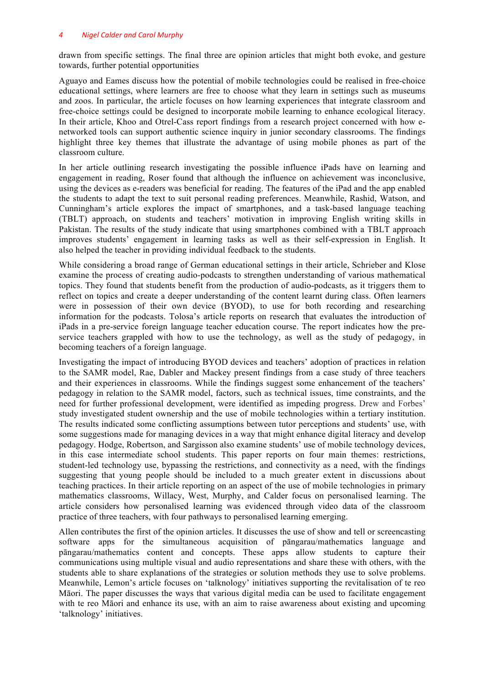#### *4 Nigel Calder and Carol Murphy*

drawn from specific settings. The final three are opinion articles that might both evoke, and gesture towards, further potential opportunities

Aguayo and Eames discuss how the potential of mobile technologies could be realised in free-choice educational settings, where learners are free to choose what they learn in settings such as museums and zoos. In particular, the article focuses on how learning experiences that integrate classroom and free-choice settings could be designed to incorporate mobile learning to enhance ecological literacy. In their article, Khoo and Otrel-Cass report findings from a research project concerned with how enetworked tools can support authentic science inquiry in junior secondary classrooms. The findings highlight three key themes that illustrate the advantage of using mobile phones as part of the classroom culture.

In her article outlining research investigating the possible influence iPads have on learning and engagement in reading, Roser found that although the influence on achievement was inconclusive, using the devices as e-readers was beneficial for reading. The features of the iPad and the app enabled the students to adapt the text to suit personal reading preferences. Meanwhile, Rashid, Watson, and Cunningham's article explores the impact of smartphones, and a task-based language teaching (TBLT) approach, on students and teachers' motivation in improving English writing skills in Pakistan. The results of the study indicate that using smartphones combined with a TBLT approach improves students' engagement in learning tasks as well as their self-expression in English. It also helped the teacher in providing individual feedback to the students.

While considering a broad range of German educational settings in their article, Schrieber and Klose examine the process of creating audio-podcasts to strengthen understanding of various mathematical topics. They found that students benefit from the production of audio-podcasts, as it triggers them to reflect on topics and create a deeper understanding of the content learnt during class. Often learners were in possession of their own device (BYOD), to use for both recording and researching information for the podcasts. Tolosa's article reports on research that evaluates the introduction of iPads in a pre-service foreign language teacher education course. The report indicates how the preservice teachers grappled with how to use the technology, as well as the study of pedagogy, in becoming teachers of a foreign language.

Investigating the impact of introducing BYOD devices and teachers' adoption of practices in relation to the SAMR model, Rae, Dabler and Mackey present findings from a case study of three teachers and their experiences in classrooms. While the findings suggest some enhancement of the teachers' pedagogy in relation to the SAMR model, factors, such as technical issues, time constraints, and the need for further professional development, were identified as impeding progress. Drew and Forbes' study investigated student ownership and the use of mobile technologies within a tertiary institution. The results indicated some conflicting assumptions between tutor perceptions and students' use, with some suggestions made for managing devices in a way that might enhance digital literacy and develop pedagogy. Hodge, Robertson, and Sargisson also examine students' use of mobile technology devices, in this case intermediate school students. This paper reports on four main themes: restrictions, student-led technology use, bypassing the restrictions, and connectivity as a need, with the findings suggesting that young people should be included to a much greater extent in discussions about teaching practices. In their article reporting on an aspect of the use of mobile technologies in primary mathematics classrooms, Willacy, West, Murphy, and Calder focus on personalised learning. The article considers how personalised learning was evidenced through video data of the classroom practice of three teachers, with four pathways to personalised learning emerging.

Allen contributes the first of the opinion articles. It discusses the use of show and tell or screencasting software apps for the simultaneous acquisition of pāngarau/mathematics language and pāngarau/mathematics content and concepts. These apps allow students to capture their communications using multiple visual and audio representations and share these with others, with the students able to share explanations of the strategies or solution methods they use to solve problems. Meanwhile, Lemon's article focuses on 'talknology' initiatives supporting the revitalisation of te reo Māori. The paper discusses the ways that various digital media can be used to facilitate engagement with te reo Māori and enhance its use, with an aim to raise awareness about existing and upcoming 'talknology' initiatives.